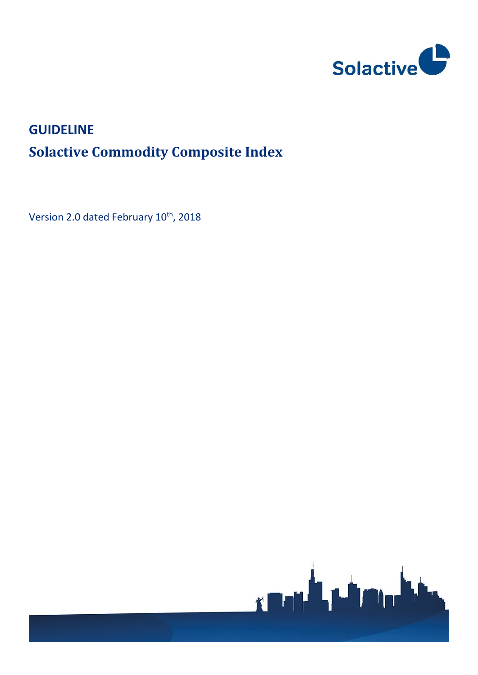

# **GUIDELINE Solactive Commodity Composite Index**

Version 2.0 dated February 10<sup>th</sup>, 2018

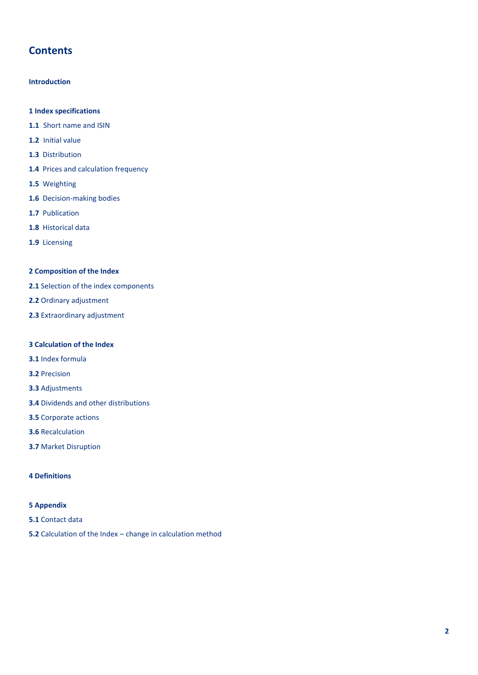## **Contents**

#### **Introduction**

#### **1 Index specifications**

- **1.1** Short name and ISIN
- **1.2** Initial value
- **1.3** Distribution
- **1.4** Prices and calculation frequency
- **1.5** Weighting
- **1.6** Decision-making bodies
- **1.7** Publication
- **1.8** Historical data
- **1.9** Licensing

#### **2 Composition of the Index**

- **2.1** Selection of the index components
- **2.2** Ordinary adjustment
- **2.3** Extraordinary adjustment

#### **3 Calculation of the Index**

- **3.1** Index formula
- **3.2** Precision
- **3.3** Adjustments
- **3.4** Dividends and other distributions
- **3.5** Corporate actions
- **3.6** Recalculation
- **3.7** Market Disruption

#### **4 Definitions**

#### **5 Appendix**

- **5.1** Contact data
- **5.2** Calculation of the Index change in calculation method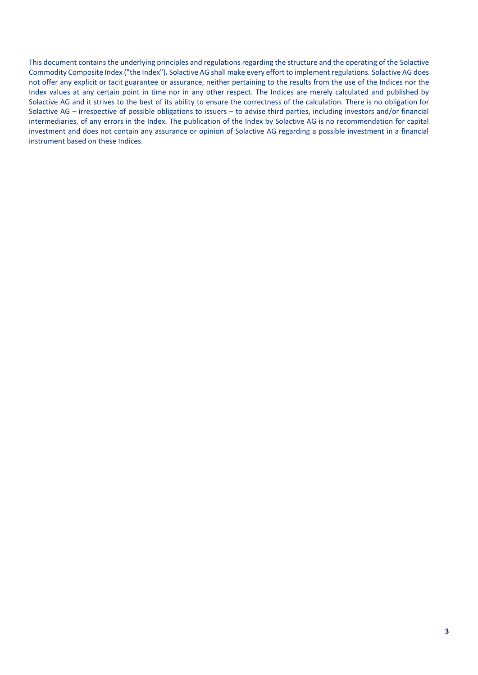This document contains the underlying principles and regulations regarding the structure and the operating of the Solactive Commodity Composite Index ("the Index")*.* Solactive AG shall make every effort to implement regulations. Solactive AG does not offer any explicit or tacit guarantee or assurance, neither pertaining to the results from the use of the Indices nor the Index values at any certain point in time nor in any other respect. The Indices are merely calculated and published by Solactive AG and it strives to the best of its ability to ensure the correctness of the calculation. There is no obligation for Solactive AG – irrespective of possible obligations to issuers – to advise third parties, including investors and/or financial intermediaries, of any errors in the Index. The publication of the Index by Solactive AG is no recommendation for capital investment and does not contain any assurance or opinion of Solactive AG regarding a possible investment in a financial instrument based on these Indices.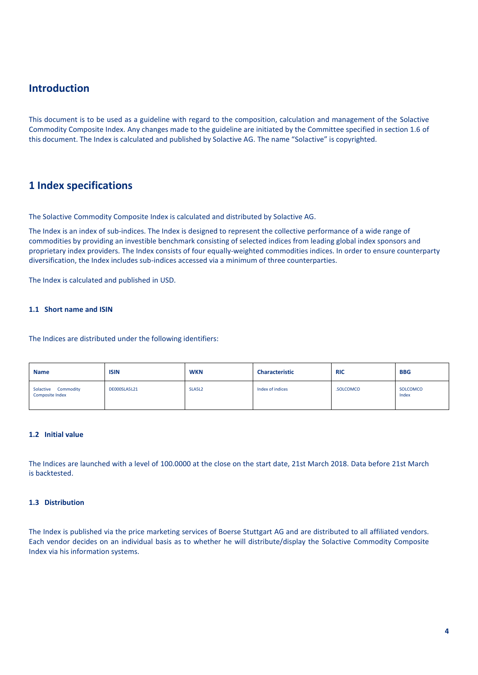## **Introduction**

This document is to be used as a guideline with regard to the composition, calculation and management of the Solactive Commodity Composite Index. Any changes made to the guideline are initiated by the Committee specified in section 1.6 of this document. The Index is calculated and published by Solactive AG. The name "Solactive" is copyrighted.

## **1 Index specifications**

The Solactive Commodity Composite Index is calculated and distributed by Solactive AG.

The Index is an index of sub-indices. The Index is designed to represent the collective performance of a wide range of commodities by providing an investible benchmark consisting of selected indices from leading global index sponsors and proprietary index providers. The Index consists of four equally-weighted commodities indices. In order to ensure counterparty diversification, the Index includes sub-indices accessed via a minimum of three counterparties.

The Index is calculated and published in USD.

#### **1.1 Short name and ISIN**

The Indices are distributed under the following identifiers:

| <b>Name</b>                                   | <b>ISIN</b>  | <b>WKN</b> | <b>Characteristic</b> | <b>RIC</b> | <b>BBG</b>        |
|-----------------------------------------------|--------------|------------|-----------------------|------------|-------------------|
| Solactive Commodity<br><b>Composite Index</b> | DE000SLA5L21 | SLA5L2     | Index of indices      | .SOLCOMCO  | SOLCOMCO<br>Index |

#### **1.2 Initial value**

The Indices are launched with a level of 100.0000 at the close on the start date, 21st March 2018. Data before 21st March is backtested.

#### **1.3 Distribution**

The Index is published via the price marketing services of Boerse Stuttgart AG and are distributed to all affiliated vendors. Each vendor decides on an individual basis as to whether he will distribute/display the Solactive Commodity Composite Index via his information systems.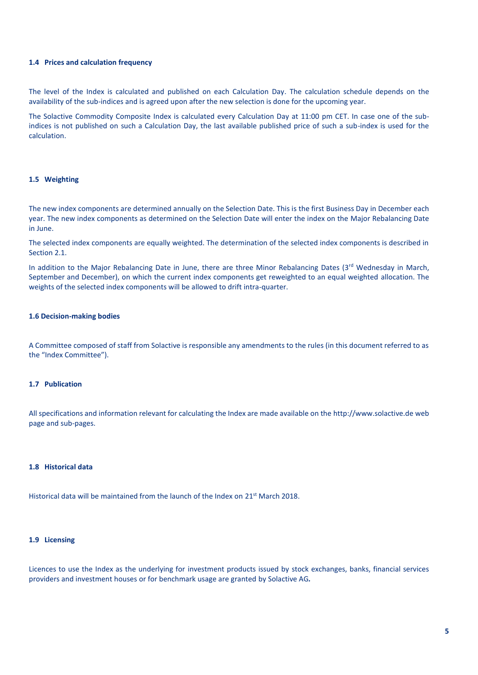#### **1.4 Prices and calculation frequency**

The level of the Index is calculated and published on each Calculation Day. The calculation schedule depends on the availability of the sub-indices and is agreed upon after the new selection is done for the upcoming year.

The Solactive Commodity Composite Index is calculated every Calculation Day at 11:00 pm CET. In case one of the subindices is not published on such a Calculation Day, the last available published price of such a sub-index is used for the calculation.

#### **1.5 Weighting**

The new index components are determined annually on the Selection Date. This is the first Business Day in December each year. The new index components as determined on the Selection Date will enter the index on the Major Rebalancing Date in June.

The selected index components are equally weighted. The determination of the selected index components is described in Section 2.1

In addition to the Major Rebalancing Date in June, there are three Minor Rebalancing Dates ( $3<sup>rd</sup>$  Wednesday in March, September and December), on which the current index components get reweighted to an equal weighted allocation. The weights of the selected index components will be allowed to drift intra-quarter.

#### **1.6 Decision-making bodies**

A Committee composed of staff from Solactive is responsible any amendments to the rules (in this document referred to as the "Index Committee").

#### **1.7 Publication**

All specifications and information relevant for calculating the Index are made available on the http://www.solactive.de web page and sub-pages.

#### **1.8 Historical data**

Historical data will be maintained from the launch of the Index on 21st March 2018.

#### **1.9 Licensing**

Licences to use the Index as the underlying for investment products issued by stock exchanges, banks, financial services providers and investment houses or for benchmark usage are granted by Solactive AG*.*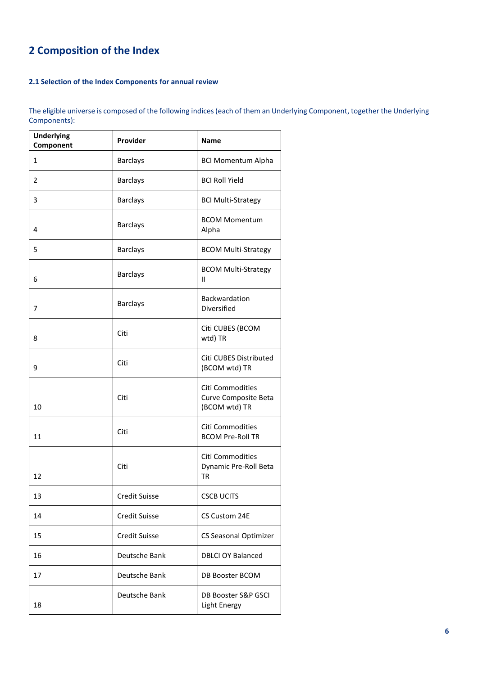## **2 Composition of the Index**

#### **2.1 Selection of the Index Components for annual review**

The eligible universe is composed of the following indices (each of them an Underlying Component, together the Underlying Components):

| <b>Underlying</b><br>Component | Provider             | Name                                                             |
|--------------------------------|----------------------|------------------------------------------------------------------|
| 1                              | <b>Barclays</b>      | <b>BCI Momentum Alpha</b>                                        |
| $\overline{2}$                 | <b>Barclays</b>      | <b>BCI Roll Yield</b>                                            |
| 3                              | <b>Barclays</b>      | <b>BCI Multi-Strategy</b>                                        |
| 4                              | <b>Barclays</b>      | <b>BCOM Momentum</b><br>Alpha                                    |
| 5                              | <b>Barclays</b>      | <b>BCOM Multi-Strategy</b>                                       |
| 6                              | <b>Barclays</b>      | <b>BCOM Multi-Strategy</b><br>Ш                                  |
| 7                              | <b>Barclays</b>      | Backwardation<br>Diversified                                     |
| 8                              | Citi                 | Citi CUBES (BCOM<br>wtd) TR                                      |
| 9                              | Citi                 | Citi CUBES Distributed<br>(BCOM wtd) TR                          |
| 10                             | Citi                 | <b>Citi Commodities</b><br>Curve Composite Beta<br>(BCOM wtd) TR |
| 11                             | Citi                 | Citi Commodities<br><b>BCOM Pre-Roll TR</b>                      |
| 12                             | Citi                 | Citi Commodities<br>Dynamic Pre-Roll Beta<br>TR                  |
| 13                             | <b>Credit Suisse</b> | <b>CSCB UCITS</b>                                                |
| 14                             | <b>Credit Suisse</b> | CS Custom 24E                                                    |
| 15                             | <b>Credit Suisse</b> | CS Seasonal Optimizer                                            |
| 16                             | Deutsche Bank        | <b>DBLCI OY Balanced</b>                                         |
| 17                             | Deutsche Bank        | <b>DB Booster BCOM</b>                                           |
| 18                             | Deutsche Bank        | DB Booster S&P GSCI<br>Light Energy                              |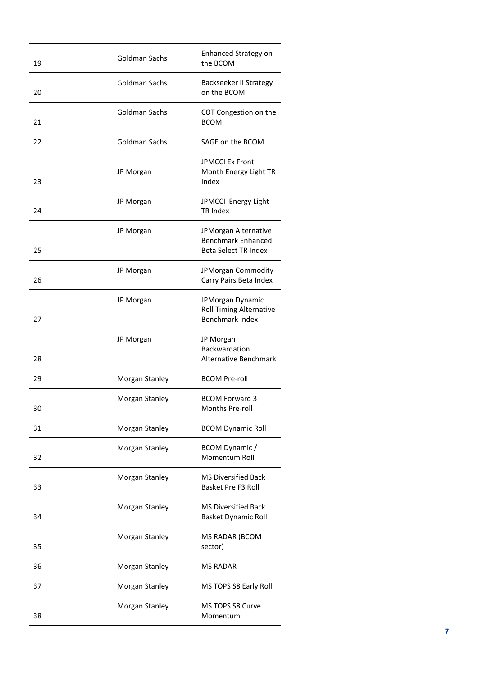| 19 | Goldman Sachs  | Enhanced Strategy on<br>the BCOM                                                 |  |  |
|----|----------------|----------------------------------------------------------------------------------|--|--|
| 20 | Goldman Sachs  | Backseeker II Strategy<br>on the BCOM                                            |  |  |
| 21 | Goldman Sachs  | COT Congestion on the<br><b>BCOM</b>                                             |  |  |
| 22 | Goldman Sachs  | SAGE on the BCOM                                                                 |  |  |
| 23 | JP Morgan      | <b>JPMCCI Ex Front</b><br>Month Energy Light TR<br>Index                         |  |  |
| 24 | JP Morgan      | JPMCCI Energy Light<br>TR Index                                                  |  |  |
| 25 | JP Morgan      | JPMorgan Alternative<br><b>Benchmark Enhanced</b><br><b>Beta Select TR Index</b> |  |  |
| 26 | JP Morgan      | JPMorgan Commodity<br>Carry Pairs Beta Index                                     |  |  |
| 27 | JP Morgan      | JPMorgan Dynamic<br><b>Roll Timing Alternative</b><br>Benchmark Index            |  |  |
| 28 | JP Morgan      | JP Morgan<br>Backwardation<br><b>Alternative Benchmark</b>                       |  |  |
| 29 | Morgan Stanley | <b>BCOM Pre-roll</b>                                                             |  |  |
| 30 | Morgan Stanley | <b>BCOM Forward 3</b><br>Months Pre-roll                                         |  |  |
| 31 | Morgan Stanley | <b>BCOM Dynamic Roll</b>                                                         |  |  |
| 32 | Morgan Stanley | BCOM Dynamic /<br>Momentum Roll                                                  |  |  |
| 33 | Morgan Stanley | MS Diversified Back<br><b>Basket Pre F3 Roll</b>                                 |  |  |
| 34 | Morgan Stanley | MS Diversified Back<br><b>Basket Dynamic Roll</b>                                |  |  |
| 35 | Morgan Stanley | MS RADAR (BCOM<br>sector)                                                        |  |  |
| 36 | Morgan Stanley | <b>MS RADAR</b>                                                                  |  |  |
| 37 | Morgan Stanley | MS TOPS S8 Early Roll                                                            |  |  |
| 38 | Morgan Stanley | MS TOPS S8 Curve<br>Momentum                                                     |  |  |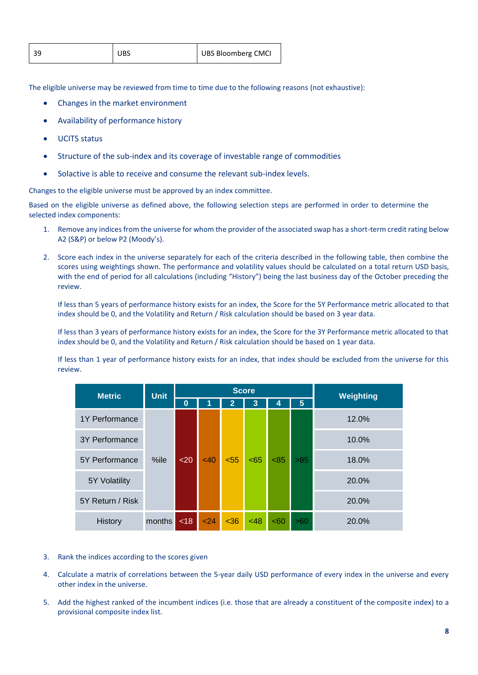| 39 | I UBS | UBS Bloomberg CMCI |
|----|-------|--------------------|
|    |       |                    |

The eligible universe may be reviewed from time to time due to the following reasons (not exhaustive):

- Changes in the market environment
- Availability of performance history
- UCITS status
- Structure of the sub-index and its coverage of investable range of commodities
- Solactive is able to receive and consume the relevant sub-index levels.

Changes to the eligible universe must be approved by an index committee.

Based on the eligible universe as defined above, the following selection steps are performed in order to determine the selected index components:

- 1. Remove any indices from the universe for whom the provider of the associated swap has a short-term credit rating below A2 (S&P) or below P2 (Moody's).
- 2. Score each index in the universe separately for each of the criteria described in the following table, then combine the scores using weightings shown. The performance and volatility values should be calculated on a total return USD basis, with the end of period for all calculations (including "History") being the last business day of the October preceding the review.

If less than 5 years of performance history exists for an index, the Score for the 5Y Performance metric allocated to that index should be 0, and the Volatility and Return / Risk calculation should be based on 3 year data.

If less than 3 years of performance history exists for an index, the Score for the 3Y Performance metric allocated to that index should be 0, and the Volatility and Return / Risk calculation should be based on 1 year data.

If less than 1 year of performance history exists for an index, that index should be excluded from the universe for this review.

| <b>Metric</b>    | <b>Unit</b> | <b>Score</b> |      |                |     |     | Weighting |       |       |
|------------------|-------------|--------------|------|----------------|-----|-----|-----------|-------|-------|
|                  |             | $\bf{0}$     |      | $\overline{2}$ | 3   | 4   | 5         |       |       |
| 1Y Performance   | %ile        |              |      |                |     |     |           |       | 12.0% |
| 3Y Performance   |             |              | <40  | < 55           | <65 | <85 | $>85$     | 10.0% |       |
| 5Y Performance   |             | $20$         |      |                |     |     |           | 18.0% |       |
| 5Y Volatility    |             |              |      |                |     |     |           |       | 20.0% |
| 5Y Return / Risk |             |              |      |                |     |     |           | 20.0% |       |
| History          | months      | <18          | $24$ | <36            | <48 | <60 | >60       | 20.0% |       |

- 3. Rank the indices according to the scores given
- 4. Calculate a matrix of correlations between the 5-year daily USD performance of every index in the universe and every other index in the universe.
- 5. Add the highest ranked of the incumbent indices (i.e. those that are already a constituent of the composite index) to a provisional composite index list.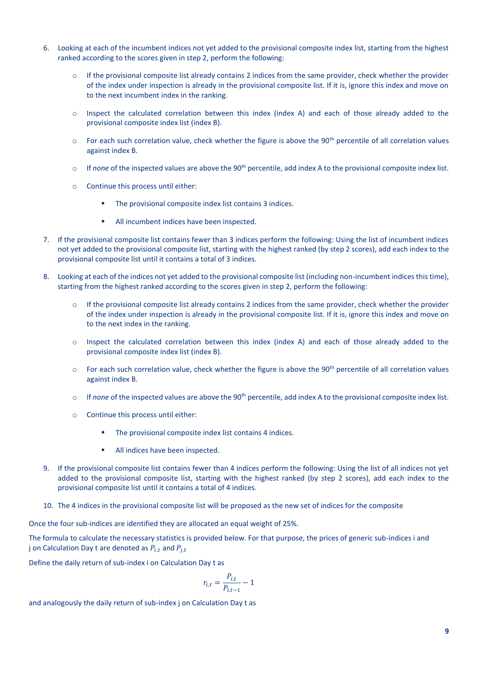- 6. Looking at each of the incumbent indices not yet added to the provisional composite index list, starting from the highest ranked according to the scores given in step 2, perform the following:
	- $\circ$  If the provisional composite list already contains 2 indices from the same provider, check whether the provider of the index under inspection is already in the provisional composite list. If it is, ignore this index and move on to the next incumbent index in the ranking.
	- o Inspect the calculated correlation between this index (index A) and each of those already added to the provisional composite index list (index B).
	- $\circ$  For each such correlation value, check whether the figure is above the 90<sup>th</sup> percentile of all correlation values against index B.
	- $\circ$  If *none* of the inspected values are above the 90<sup>th</sup> percentile, add index A to the provisional composite index list.
	- o Continue this process until either:
		- The provisional composite index list contains 3 indices.
		- All incumbent indices have been inspected.
- 7. If the provisional composite list contains fewer than 3 indices perform the following: Using the list of incumbent indices not yet added to the provisional composite list, starting with the highest ranked (by step 2 scores), add each index to the provisional composite list until it contains a total of 3 indices.
- 8. Looking at each of the indices not yet added to the provisional composite list (including non-incumbent indices this time), starting from the highest ranked according to the scores given in step 2, perform the following:
	- o If the provisional composite list already contains 2 indices from the same provider, check whether the provider of the index under inspection is already in the provisional composite list. If it is, ignore this index and move on to the next index in the ranking.
	- $\circ$  Inspect the calculated correlation between this index (index A) and each of those already added to the provisional composite index list (index B).
	- $\circ$  For each such correlation value, check whether the figure is above the 90<sup>th</sup> percentile of all correlation values against index B.
	- $\circ$  If *none* of the inspected values are above the 90<sup>th</sup> percentile, add index A to the provisional composite index list.
	- o Continue this process until either:
		- The provisional composite index list contains 4 indices.
		- **■** All indices have been inspected.
- 9. If the provisional composite list contains fewer than 4 indices perform the following: Using the list of all indices not yet added to the provisional composite list, starting with the highest ranked (by step 2 scores), add each index to the provisional composite list until it contains a total of 4 indices.
- 10. The 4 indices in the provisional composite list will be proposed as the new set of indices for the composite

Once the four sub-indices are identified they are allocated an equal weight of 25%.

The formula to calculate the necessary statistics is provided below. For that purpose, the prices of generic sub-indices i and j on Calculation Day t are denoted as  $P_{i,t}$  and  $P_{i,t}$ 

Define the daily return of sub-index i on Calculation Day t as

$$
r_{i,t} = \frac{P_{i,t}}{P_{i,t-1}} - 1
$$

and analogously the daily return of sub-index j on Calculation Day t as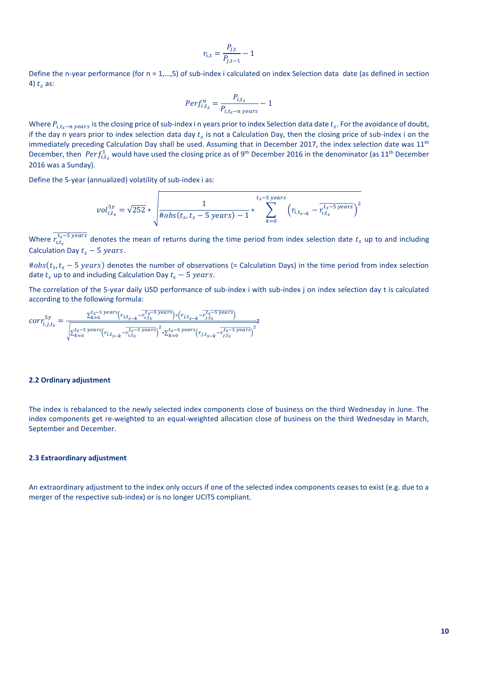$$
r_{i,t} = \frac{P_{j,t}}{P_{j,t-1}} - 1
$$

Define the n-year performance (for  $n = 1, ..., 5$ ) of sub-index i calculated on index Selection data date (as defined in section 4)  $t_s$  as:

$$
Perf_{i,t_s}^n = \frac{P_{i,t_s}}{P_{i,t_s-n \ years}} - 1
$$

Where  $P_{i,t_s-n \ years}$  is the closing price of sub-index i n years prior to index Selection data date  $t_s$ . For the avoidance of doubt, if the day n years prior to index selection data day  $t_s$  is not a Calculation Day, then the closing price of sub-index i on the immediately preceding Calculation Day shall be used. Assuming that in December 2017, the index selection date was 11<sup>th</sup> December, then  $Perf_{i,t_s}^1$  would have used the closing price as of 9<sup>th</sup> December 2016 in the denominator (as 11<sup>th</sup> December 2016 was a Sunday).

Define the 5-year (annualized) volatility of sub-index i as:

$$
vol_{i,t_s}^{5y} = \sqrt{252} * \sqrt{\frac{1}{\# obs(t_s, t_s - 5 \ years) - 1}} * \sum_{k=0}^{t_s - 5 \ years} (r_{i,t_{s-k}} - \overline{r_{i,t_s}^{t_s - 5 \ years})^2}
$$

Where  $\overline{r_{i,t_s}^{t_s-5 \, years}}$  denotes the mean of returns during the time period from index selection date  $t_s$  up to and including Calculation Day  $t_c - 5$  years.

 $#obs(t_s, t_s - 5 \text{ years})$  denotes the number of observations (= Calculation Days) in the time period from index selection date  $t_s$  up to and including Calculation Day  $t_s - 5$  years.

The correlation of the 5-year daily USD performance of sub-index i with sub-index j on index selection day t is calculated according to the following formula:

$$
corr_{i,j,t_S}^{5y} = \frac{\sum_{k=0}^{t_S-5 \ years\left(r_{i,t_{S-k}} - r_{i,t_S}^{t_S-5 \ years}\right) * \left(r_{j,t_{S-k}} - r_{j,t_S}^{t_S-5 \ years}\right)}}{\sqrt{\sum_{k=0}^{t_S-5 \ years\left(r_{i,t_{S-k}} - r_{i,t_S}^{t_S-5 \ years}\right)^2 * \sum_{k=0}^{t_S-5 \ years\left(r_{j,t_{S-k}} - r_{j,t_S}^{t_S-5 \ years}\right)^2}}}
$$

#### **2.2 Ordinary adjustment**

The index is rebalanced to the newly selected index components close of business on the third Wednesday in June. The index components get re-weighted to an equal-weighted allocation close of business on the third Wednesday in March, September and December.

#### **2.3 Extraordinary adjustment**

An extraordinary adjustment to the index only occurs if one of the selected index components ceases to exist (e.g. due to a merger of the respective sub-index) or is no longer UCITS compliant.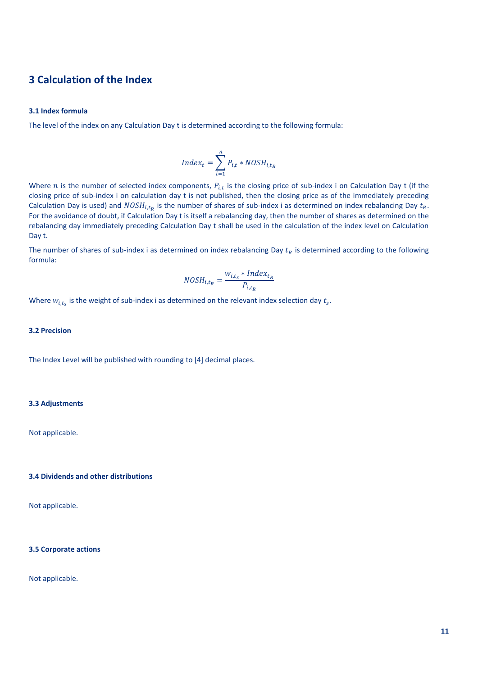### **3 Calculation of the Index**

#### **3.1 Index formula**

The level of the index on any Calculation Day t is determined according to the following formula:

$$
Index_t = \sum_{i=1}^{n} P_{i,t} * NOSH_{i,t_R}
$$

Where *n* is the number of selected index components,  $P_{i,t}$  is the closing price of sub-index i on Calculation Day t (if the closing price of sub-index i on calculation day t is not published, then the closing price as of the immediately preceding Calculation Day is used) and  $NOSH_{i,t_R}$  is the number of shares of sub-index i as determined on index rebalancing Day  $t_R$ . For the avoidance of doubt, if Calculation Day t is itself a rebalancing day, then the number of shares as determined on the rebalancing day immediately preceding Calculation Day t shall be used in the calculation of the index level on Calculation Day t.

The number of shares of sub-index i as determined on index rebalancing Day  $t_R$  is determined according to the following formula:

$$
NOSH_{i,t_R} = \frac{w_{i,t_S} * Index_{t_R}}{P_{i,t_R}}
$$

Where  $w_{i,t_s}$  is the weight of sub-index i as determined on the relevant index selection day  $t_s$ .

#### **3.2 Precision**

The Index Level will be published with rounding to [4] decimal places.

#### **3.3 Adjustments**

Not applicable.

#### **3.4 Dividends and other distributions**

Not applicable.

#### **3.5 Corporate actions**

Not applicable.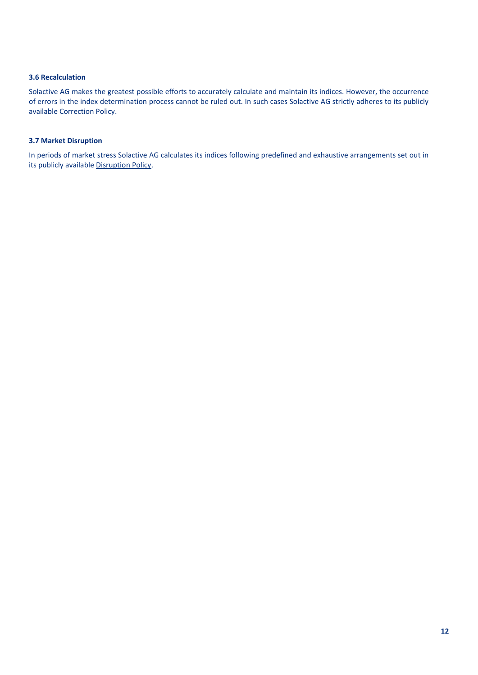#### **3.6 Recalculation**

Solactive AG makes the greatest possible efforts to accurately calculate and maintain its indices. However, the occurrence of errors in the index determination process cannot be ruled out. In such cases Solactive AG strictly adheres to its publicly available [Correction Policy.](http://www.solactive.com/wp-content/uploads/2016/11/Correction-Policy.pdf)

#### **3.7 Market Disruption**

In periods of market stress Solactive AG calculates its indices following predefined and exhaustive arrangements set out in its publicly availabl[e Disruption Policy](http://www.solactive.com/wp-content/uploads/2016/10/Disruption-Policy.pdf).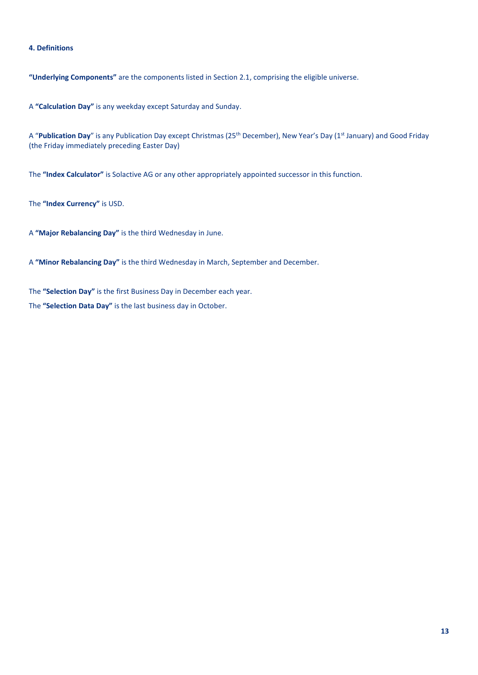#### **4. Definitions**

**"Underlying Components"** are the components listed in Section 2.1, comprising the eligible universe.

A **"Calculation Day"** is any weekday except Saturday and Sunday.

A "Publication Day" is any Publication Day except Christmas (25<sup>th</sup> December), New Year's Day (1<sup>st</sup> January) and Good Friday (the Friday immediately preceding Easter Day)

The **"Index Calculator"** is Solactive AG or any other appropriately appointed successor in this function.

The **"Index Currency"** is USD.

A **"Major Rebalancing Day"** is the third Wednesday in June.

A **"Minor Rebalancing Day"** is the third Wednesday in March, September and December.

The **"Selection Day"** is the first Business Day in December each year.

The **"Selection Data Day"** is the last business day in October.